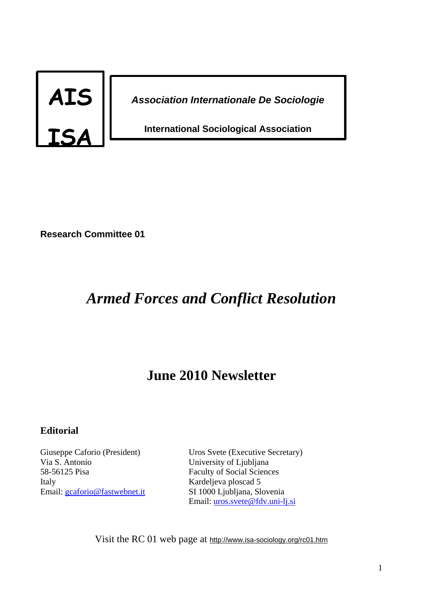

*Association Internationale De Sociologie* 

**International Sociological Association** 

**Research Committee 01** 

# *Armed Forces and Conflict Resolution*

# **June 2010 Newsletter**

# **Editorial**

Giuseppe Caforio (President) Via S. Antonio 58-56125 Pisa Italy Email: [gcaforio@fastwebnet.it](mailto:gcaforio@fastwebnet.it) Uros Svete (Executive Secretary) University of Ljubljana Faculty of Social Sciences Kardeljeva ploscad 5 SI 1000 Ljubljana, Slovenia Email: [uros.svete@fdv.uni-lj.si](mailto:uros.svete@fdv.uni-lj.si)

Visit the RC 01 web page at <http://www.isa-sociology.org/rc01.htm>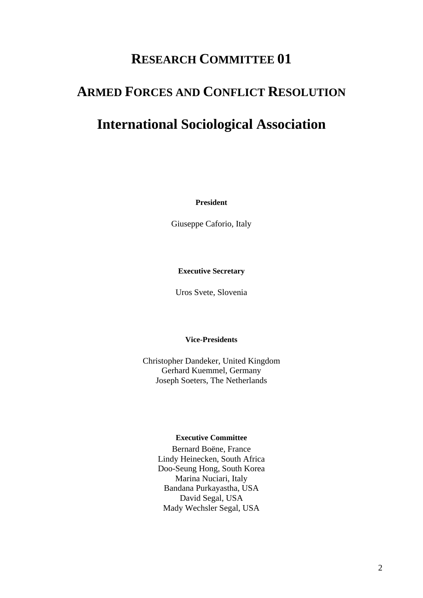# **RESEARCH COMMITTEE 01**

# **ARMED FORCES AND CONFLICT RESOLUTION**

# **International Sociological Association**

**President** 

Giuseppe Caforio, Italy

### **Executive Secretary**

Uros Svete, Slovenia

# **Vice-Presidents**

Christopher Dandeker, United Kingdom Gerhard Kuemmel, Germany Joseph Soeters, The Netherlands

#### **Executive Committee**

Bernard Boëne, France Lindy Heinecken, South Africa Doo-Seung Hong, South Korea Marina Nuciari, Italy Bandana Purkayastha, USA David Segal, USA Mady Wechsler Segal, USA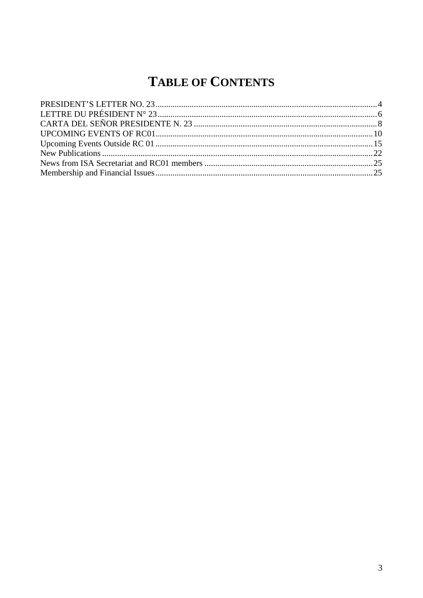# **TABLE OF CONTENTS**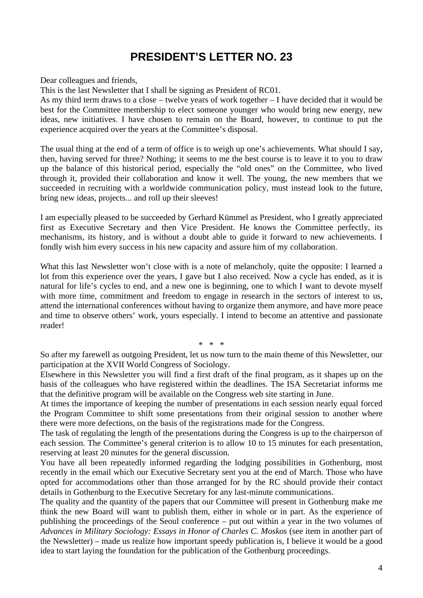# **PRESIDENT'S LETTER NO. 23**

<span id="page-3-0"></span>Dear colleagues and friends,

This is the last Newsletter that I shall be signing as President of RC01.

As my third term draws to a close – twelve years of work together – I have decided that it would be best for the Committee membership to elect someone younger who would bring new energy, new ideas, new initiatives. I have chosen to remain on the Board, however, to continue to put the experience acquired over the years at the Committee's disposal.

The usual thing at the end of a term of office is to weigh up one's achievements. What should I say, then, having served for three? Nothing; it seems to me the best course is to leave it to you to draw up the balance of this historical period, especially the "old ones" on the Committee, who lived through it, provided their collaboration and know it well. The young, the new members that we succeeded in recruiting with a worldwide communication policy, must instead look to the future, bring new ideas, projects... and roll up their sleeves!

I am especially pleased to be succeeded by Gerhard Kümmel as President, who I greatly appreciated first as Executive Secretary and then Vice President. He knows the Committee perfectly, its mechanisms, its history, and is without a doubt able to guide it forward to new achievements. I fondly wish him every success in his new capacity and assure him of my collaboration.

What this last Newsletter won't close with is a note of melancholy, quite the opposite: I learned a lot from this experience over the years, I gave but I also received. Now a cycle has ended, as it is natural for life's cycles to end, and a new one is beginning, one to which I want to devote myself with more time, commitment and freedom to engage in research in the sectors of interest to us, attend the international conferences without having to organize them anymore, and have more peace and time to observe others' work, yours especially. I intend to become an attentive and passionate reader!

\* \* \*

So after my farewell as outgoing President, let us now turn to the main theme of this Newsletter, our participation at the XVII World Congress of Sociology.

Elsewhere in this Newsletter you will find a first draft of the final program, as it shapes up on the basis of the colleagues who have registered within the deadlines. The ISA Secretariat informs me that the definitive program will be available on the Congress web site starting in June.

At times the importance of keeping the number of presentations in each session nearly equal forced the Program Committee to shift some presentations from their original session to another where there were more defections, on the basis of the registrations made for the Congress.

The task of regulating the length of the presentations during the Congress is up to the chairperson of each session. The Committee's general criterion is to allow 10 to 15 minutes for each presentation, reserving at least 20 minutes for the general discussion.

You have all been repeatedly informed regarding the lodging possibilities in Gothenburg, most recently in the email which our Executive Secretary sent you at the end of March. Those who have opted for accommodations other than those arranged for by the RC should provide their contact details in Gothenburg to the Executive Secretary for any last-minute communications.

The quality and the quantity of the papers that our Committee will present in Gothenburg make me think the new Board will want to publish them, either in whole or in part. As the experience of publishing the proceedings of the Seoul conference – put out within a year in the two volumes of *Advances in Military Sociology: Essays in Honor of Charles C. Moskos* (see item in another part of the Newsletter) – made us realize how important speedy publication is, I believe it would be a good idea to start laying the foundation for the publication of the Gothenburg proceedings.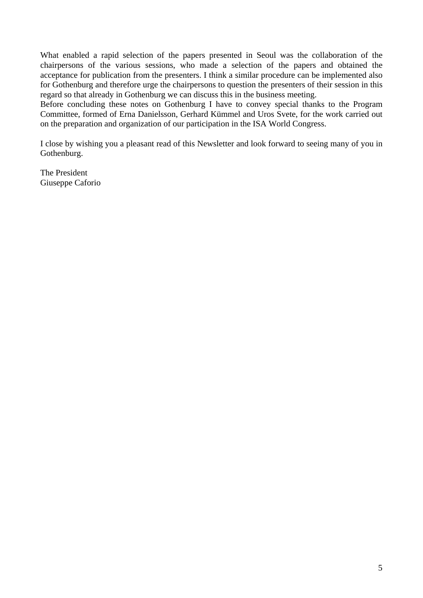What enabled a rapid selection of the papers presented in Seoul was the collaboration of the chairpersons of the various sessions, who made a selection of the papers and obtained the acceptance for publication from the presenters. I think a similar procedure can be implemented also for Gothenburg and therefore urge the chairpersons to question the presenters of their session in this regard so that already in Gothenburg we can discuss this in the business meeting.

Before concluding these notes on Gothenburg I have to convey special thanks to the Program Committee, formed of Erna Danielsson, Gerhard Kümmel and Uros Svete, for the work carried out on the preparation and organization of our participation in the ISA World Congress.

I close by wishing you a pleasant read of this Newsletter and look forward to seeing many of you in Gothenburg.

The President Giuseppe Caforio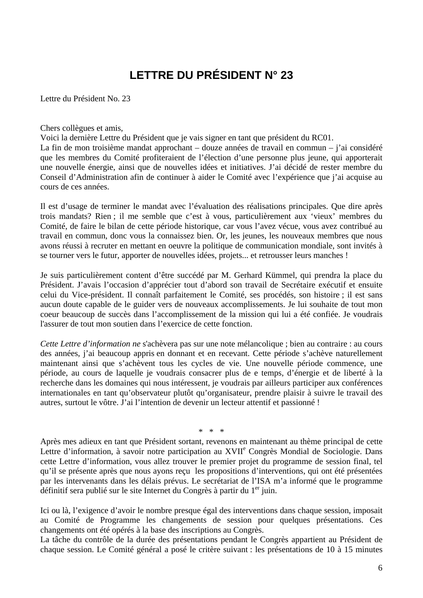# **LETTRE DU PRÉSIDENT N° 23**

<span id="page-5-0"></span>Lettre du Président No. 23

Chers collègues et amis,

Voici la dernière Lettre du Président que je vais signer en tant que président du RC01. La fin de mon troisième mandat approchant – douze années de travail en commun – j'ai considéré que les membres du Comité profiteraient de l'élection d'une personne plus jeune, qui apporterait une nouvelle énergie, ainsi que de nouvelles idées et initiatives. J'ai décidé de rester membre du Conseil d'Administration afin de continuer à aider le Comité avec l'expérience que j'ai acquise au cours de ces années.

Il est d'usage de terminer le mandat avec l'évaluation des réalisations principales. Que dire après trois mandats? Rien ; il me semble que c'est à vous, particulièrement aux 'vieux' membres du Comité, de faire le bilan de cette période historique, car vous l'avez vécue, vous avez contribué au travail en commun, donc vous la connaissez bien. Or, les jeunes, les nouveaux membres que nous avons réussi à recruter en mettant en oeuvre la politique de communication mondiale, sont invités à se tourner vers le futur, apporter de nouvelles idées, projets... et retrousser leurs manches !

Je suis particulièrement content d'être succédé par M. Gerhard Kümmel, qui prendra la place du Président. J'avais l'occasion d'apprécier tout d'abord son travail de Secrétaire exécutif et ensuite celui du Vice-président. Il connaît parfaitement le Comité, ses procédés, son histoire ; il est sans aucun doute capable de le guider vers de nouveaux accomplissements. Je lui souhaite de tout mon coeur beaucoup de succès dans l'accomplissement de la mission qui lui a été confiée. Je voudrais l'assurer de tout mon soutien dans l'exercice de cette fonction.

*Cette Lettre d'information ne* s'achèvera pas sur une note mélancolique ; bien au contraire : au cours des années, j'ai beaucoup appris en donnant et en recevant. Cette période s'achève naturellement maintenant ainsi que s'achèvent tous les cycles de vie. Une nouvelle période commence, une période, au cours de laquelle je voudrais consacrer plus de e temps, d'énergie et de liberté à la recherche dans les domaines qui nous intéressent, je voudrais par ailleurs participer aux conférences internationales en tant qu'observateur plutôt qu'organisateur, prendre plaisir à suivre le travail des autres, surtout le vôtre. J'ai l'intention de devenir un lecteur attentif et passionné !

 $\ddot{\phi} = \dot{\phi}$ 

Après mes adieux en tant que Président sortant, revenons en maintenant au thème principal de cette Lettre d'information, à savoir notre participation au XVII<sup>e</sup> Congrès Mondial de Sociologie. Dans cette Lettre d'information, vous allez trouver le premier projet du programme de session final, tel qu'il se présente après que nous ayons reçu les propositions d'interventions, qui ont été présentées par les intervenants dans les délais prévus. Le secrétariat de l'ISA m'a informé que le programme définitif sera publié sur le site Internet du Congrès à partir du 1<sup>er</sup> juin.

Ici ou là, l'exigence d'avoir le nombre presque égal des interventions dans chaque session, imposait au Comité de Programme les changements de session pour quelques présentations. Ces changements ont été opérés à la base des inscriptions au Congrès.

La tâche du contrôle de la durée des présentations pendant le Congrès appartient au Président de chaque session. Le Comité général a posé le critère suivant : les présentations de 10 à 15 minutes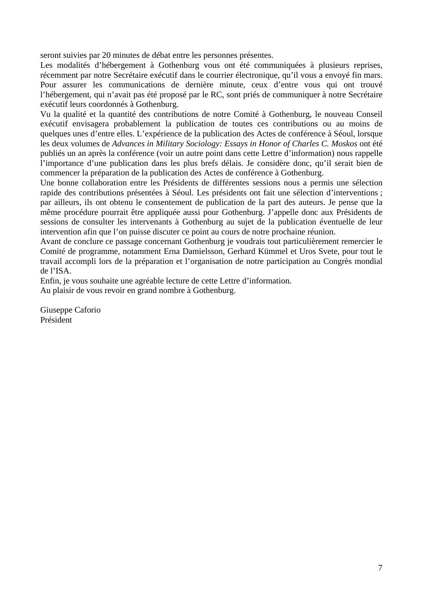seront suivies par 20 minutes de débat entre les personnes présentes.

Les modalités d'hébergement à Gothenburg vous ont été communiquées à plusieurs reprises, récemment par notre Secrétaire exécutif dans le courrier électronique, qu'il vous a envoyé fin mars. Pour assurer les communications de dernière minute, ceux d'entre vous qui ont trouvé l'hébergement, qui n'avait pas été proposé par le RC, sont priés de communiquer à notre Secrétaire exécutif leurs coordonnés à Gothenburg.

Vu la qualité et la quantité des contributions de notre Comité à Gothenburg, le nouveau Conseil exécutif envisagera probablement la publication de toutes ces contributions ou au moins de quelques unes d'entre elles. L'expérience de la publication des Actes de conférence à Séoul, lorsque les deux volumes de *Advances in Military Sociology: Essays in Honor of Charles C. Moskos* ont été publiés un an après la conférence (voir un autre point dans cette Lettre d'information) nous rappelle l'importance d'une publication dans les plus brefs délais. Je considère donc, qu'il serait bien de commencer la préparation de la publication des Actes de conférence à Gothenburg.

Une bonne collaboration entre les Présidents de différentes sessions nous a permis une sélection rapide des contributions présentées à Séoul. Les présidents ont fait une sélection d'interventions ; par ailleurs, ils ont obtenu le consentement de publication de la part des auteurs. Je pense que la même procédure pourrait être appliquée aussi pour Gothenburg. J'appelle donc aux Présidents de sessions de consulter les intervenants à Gothenburg au sujet de la publication éventuelle de leur intervention afin que l'on puisse discuter ce point au cours de notre prochaine réunion.

Avant de conclure ce passage concernant Gothenburg je voudrais tout particulièrement remercier le Comité de programme, notamment Erna Damielsson, Gerhard Kümmel et Uros Svete, pour tout le travail accompli lors de la préparation et l'organisation de notre participation au Congrès mondial de l'ISA.

Enfin, je vous souhaite une agréable lecture de cette Lettre d'information.

Au plaisir de vous revoir en grand nombre à Gothenburg.

Giuseppe Caforio Président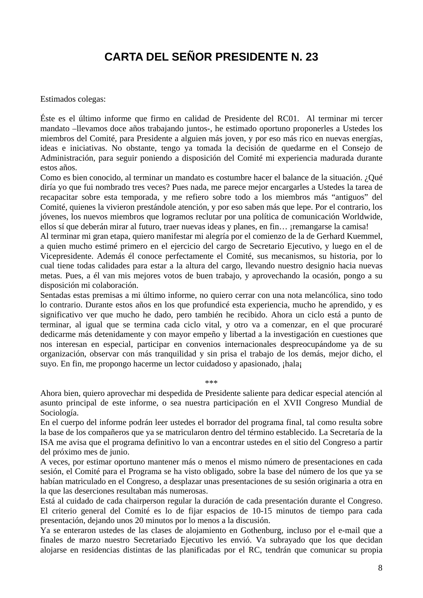# **CARTA DEL SEÑOR PRESIDENTE N. 23**

<span id="page-7-0"></span>Estimados colegas:

Éste es el último informe que firmo en calidad de Presidente del RC01. Al terminar mi tercer mandato –llevamos doce años trabajando juntos-, he estimado oportuno proponerles a Ustedes los miembros del Comité, para Presidente a alguien más joven, y por eso más rico en nuevas energías, ideas e iniciativas. No obstante, tengo ya tomada la decisión de quedarme en el Consejo de Administración, para seguir poniendo a disposición del Comité mi experiencia madurada durante estos años.

Como es bien conocido, al terminar un mandato es costumbre hacer el balance de la situación. ¿Qué diría yo que fui nombrado tres veces? Pues nada, me parece mejor encargarles a Ustedes la tarea de recapacitar sobre esta temporada, y me refiero sobre todo a los miembros más "antiguos" del Comité, quienes la vivieron prestándole atención, y por eso saben más que lepe. Por el contrario, los jóvenes, los nuevos miembros que logramos reclutar por una política de comunicación Worldwide, ellos sí que deberán mirar al futuro, traer nuevas ideas y planes, en fin… ¡remangarse la camisa!

Al terminar mi gran etapa, quiero manifestar mi alegría por el comienzo de la de Gerhard Kuemmel, a quien mucho estimé primero en el ejercicio del cargo de Secretario Ejecutivo, y luego en el de Vicepresidente. Además él conoce perfectamente el Comité, sus mecanismos, su historia, por lo cual tiene todas calidades para estar a la altura del cargo, llevando nuestro designio hacia nuevas metas. Pues, a él van mis mejores votos de buen trabajo, y aprovechando la ocasión, pongo a su disposición mi colaboración.

Sentadas estas premisas a mi último informe, no quiero cerrar con una nota melancólica, sino todo lo contrario. Durante estos años en los que profundicé esta experiencia, mucho he aprendido, y es significativo ver que mucho he dado, pero también he recibido. Ahora un ciclo está a punto de terminar, al igual que se termina cada ciclo vital, y otro va a comenzar, en el que procuraré dedicarme más detenidamente y con mayor empeño y libertad a la investigación en cuestiones que nos interesan en especial, participar en convenios internacionales despreocupándome ya de su organización, observar con más tranquilidad y sin prisa el trabajo de los demás, mejor dicho, el suyo. En fin, me propongo hacerme un lector cuidadoso y apasionado, ¡hala¡

Ahora bien, quiero aprovechar mi despedida de Presidente saliente para dedicar especial atención al asunto principal de este informe, o sea nuestra participación en el XVII Congreso Mundial de Sociología.

\*\*\*

En el cuerpo del informe podrán leer ustedes el borrador del programa final, tal como resulta sobre la base de los compañeros que ya se matricularon dentro del término establecido. La Secretaría de la ISA me avisa que el programa definitivo lo van a encontrar ustedes en el sitio del Congreso a partir del próximo mes de junio.

A veces, por estimar oportuno mantener más o menos el mismo número de presentaciones en cada sesión, el Comité para el Programa se ha visto obligado, sobre la base del número de los que ya se habían matriculado en el Congreso, a desplazar unas presentaciones de su sesión originaria a otra en la que las deserciones resultaban más numerosas.

Está al cuidado de cada chairperson regular la duración de cada presentación durante el Congreso. El criterio general del Comité es lo de fijar espacios de 10-15 minutos de tiempo para cada presentación, dejando unos 20 minutos por lo menos a la discusión.

Ya se enteraron ustedes de las clases de alojamiento en Gothenburg, incluso por el e-mail que a finales de marzo nuestro Secretariado Ejecutivo les envió. Va subrayado que los que decidan alojarse en residencias distintas de las planificadas por el RC, tendrán que comunicar su propia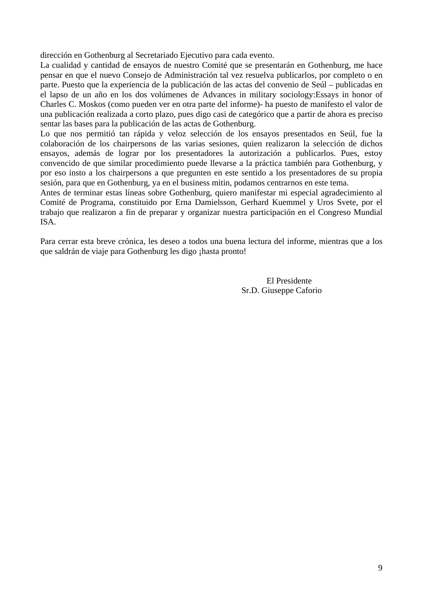dirección en Gothenburg al Secretariado Ejecutivo para cada evento.

La cualidad y cantidad de ensayos de nuestro Comité que se presentarán en Gothenburg, me hace pensar en que el nuevo Consejo de Administración tal vez resuelva publicarlos, por completo o en parte. Puesto que la experiencia de la publicación de las actas del convenio de Seúl – publicadas en el lapso de un año en los dos volúmenes de Advances in military sociology:Essays in honor of Charles C. Moskos (como pueden ver en otra parte del informe)- ha puesto de manifesto el valor de una publicación realizada a corto plazo, pues digo casi de categórico que a partir de ahora es preciso sentar las bases para la publicación de las actas de Gothenburg.

Lo que nos permitió tan rápida y veloz selección de los ensayos presentados en Seúl, fue la colaboración de los chairpersons de las varias sesiones, quien realizaron la selección de dichos ensayos, además de lograr por los presentadores la autorización a publicarlos. Pues, estoy convencido de que similar procedimiento puede llevarse a la práctica también para Gothenburg, y por eso insto a los chairpersons a que pregunten en este sentido a los presentadores de su propia sesión, para que en Gothenburg, ya en el business mitin, podamos centrarnos en este tema.

Antes de terminar estas líneas sobre Gothenburg, quiero manifestar mi especial agradecimiento al Comité de Programa, constituido por Erna Damielsson, Gerhard Kuemmel y Uros Svete, por el trabajo que realizaron a fin de preparar y organizar nuestra participación en el Congreso Mundial ISA.

Para cerrar esta breve crónica, les deseo a todos una buena lectura del informe, mientras que a los que saldrán de viaje para Gothenburg les digo ¡hasta pronto!

> El Presidente Sr.D. Giuseppe Caforio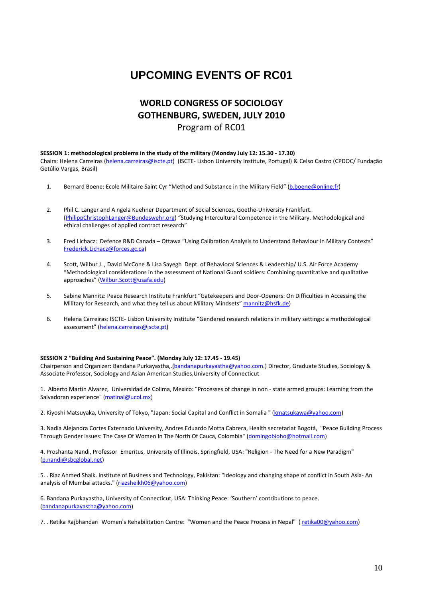# <span id="page-9-0"></span>**UPCOMING EVENTS OF RC01**

# **WORLD CONGRESS OF SOCIOLOGY GOTHENBURG, SWEDEN, JULY 2010** Program of RC01

#### **SESSION 1: methodological problems in the study of the military (Monday July 12: 15.30 ‐ 17.30)**

Chairs: Helena Carreiras [\(helena.carreiras@iscte.pt](mailto:helena.carreiras@iscte.pt)) (ISCTE‐ Lisbon University Institute, Portugal) & Celso Castro (CPDOC/ Fundação Getúlio Vargas, Brasil)

- 1. Bernard Boene: Ecole Militaire Saint Cyr "Method and Substance in the Military Field" ([b.boene@online.fr\)](mailto:b.boene@online.fr)
- 2. Phil C. Langer and A ngela Kuehner Department of Social Sciences, Goethe-University Frankfurt. [\(PhilippChristophLanger@Bundeswehr.org\)](mailto:PhilippChristophLanger@Bundeswehr.org) "Studying Intercultural Competence in the Military. Methodological and ethical challenges of applied contract research"
- 3. Fred Lichacz: Defence R&D Canada Ottawa "Using Calibration Analysis to Understand Behaviour in Military Contexts" [Frederick.Lichacz@forces.gc.ca](mailto:Frederick.Lichacz@forces.gc.ca))
- 4. Scott, Wilbur J. , David McCone & Lisa Sayegh Dept. of Behavioral Sciences & Leadership/ U.S. Air Force Academy "Methodological considerations in the assessment of National Guard soldiers: Combining quantitative and qualitative approaches" ([Wilbur.Scott@usafa.edu](mailto:Wilbur.Scott@usafa.edu))
- 5. Sabine Mannitz: Peace Research Institute Frankfurt "Gatekeepers and Door‐Openers: On Difficulties in Accessing the Military for Research, and what they tell us about Military Mindsets" [mannitz@hsfk.de\)](mailto:mannitz@hsfk.de)
- 6. Helena Carreiras: ISCTE‐ Lisbon University Institute "Gendered research relations in military settings: a methodological assessment" ([helena.carreiras@iscte.pt](mailto:helena.carreiras@iscte.pt))

#### **SESSION 2 "Building And Sustaining Peace". (Monday July 12: 17.45 ‐ 19.45)**

Chairperson and Organizer**:** Bandana Purkayastha,.[\(bandanapurkayastha@yahoo.com.](mailto:bandanapurkayastha@yahoo.com)) Director, Graduate Studies, Sociology & Associate Professor, Sociology and Asian American Studies,University of Connecticut

1. Alberto Martin Alvarez, Universidad de Colima, Mexico: "Processes of change in non ‐ state armed groups: Learning from the Salvadoran experience" [\(matinal@ucol.mx](mailto:matinal@ucol.mx))

2. Kiyoshi Matsuyaka, University of Tokyo, "Japan: Social Capital and Conflict in Somalia " ([kmatsukawa@yahoo.com\)](mailto:kmatsukawa@yahoo.com)

3. Nadia Alejandra Cortes Externado University, Andres Eduardo Motta Cabrera, Health secretariat Bogotá, "Peace Building Process Through Gender Issues: The Case Of Women In The North Of Cauca, Colombia" [\(domingobioho@hotmail.com](mailto:domingobioho@hotmail.com))

4. Proshanta Nandi, Professor Emeritus, University of Illinois, Springfield, USA: "Religion ‐ The Need for a New Paradigm" [\(p.nandi@sbcglobal.net\)](mailto:p.nandi@sbcglobal.net)

5. . Riaz Ahmed Shaik. Institute of Business and Technology, Pakistan: "Ideology and changing shape of conflict in South Asia‐ An analysis of Mumbai attacks." [\(riazsheikh06@yahoo.com\)](mailto:riazsheikh06@yahoo.com)

6. Bandana Purkayastha, University of Connecticut, USA: Thinking Peace: 'Southern' contributions to peace. [\(bandanapurkayastha@yahoo.com\)](mailto:bandanapurkayastha@yahoo.com)

7. . Retika Rajbhandari Women's Rehabilitation Centre: "Women and the Peace Process in Nepal" ( [retika00@yahoo.com](mailto:retika00@yahoo.com))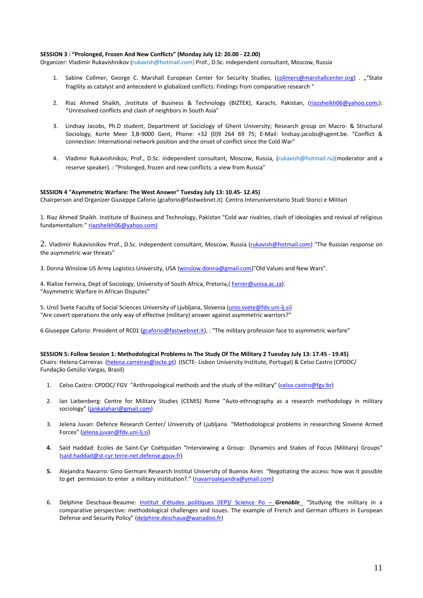#### **SESSION 3 : "Prolonged, Frozen And New Conflicts" (Monday July 12: 20.00 ‐ 22.00)**

Organizer: Vladimir Rukavishnikov [\(rukavish@hotmail.](mailto:rukavish@hotmail.ru)com) Prof., D.Sc. independent consultant, Moscow, Russia

- 1. Sabine Collmer, George C. Marshall European Center for Security Studies, ([collmers@marshallcenter.org\)](mailto:collmers@marshallcenter.org) . ""State fragility as catalyst and antecedent in globalized conflicts: Findings from comparative research "
- 2. Riaz Ahmed Shaikh, ,Institute of Business & Technology (BIZTEK), Karachi, Pakistan, [\(riazsheikh06@yahoo.com;](mailto:riazsheikh06@yahoo.com)): "Unresolved conflicts and clash of neighbors in South Asia"
- 3. Lindsay Jacobs, Ph.D student, Department of Sociology of Ghent University; Research group on Macro‐ & Structural Sociology, Korte Meer 3,B‐9000 Gent, Phone: +32 (0)9 264 69 75; E‐Mail: [lindsay.jacobs@ugent.be](mailto:lindsay.jacobs@ugent.be). "Conflict & connection: International network position and the onset of conflict since the Cold War"
- 4. Vladimir Rukavishnikov, Prof., D.Sc. independent consultant, Moscow, Russia, ([rukavish@hotmail.ru\)](mailto:rukavish@hotmail.ru)(moderator and a reserve speaker). : "Prolonged, frozen and new conflicts: a view from Russia"

#### **SESSION 4 "Asymmetric Warfare: The West Answer" Tuesday July 13: 10.45‐ 12.45)**

Chairperson and Organizer Giuseppe Caforio [\(gcaforio@fastwebnet.it\)](mailto:gcaforio@fastwebnet.it) Centro Interuniversitario Studi Storici e Militari

1. Riaz Ahmed Shaikh. Institute of Business and Technology, Pakistan "Cold war rivalries, clash of ideologies and revival of religious fundamentalism." [riazsheikh06@yahoo.com](mailto:riazsheikh06@yahoo.com))

2. Vladimir Rukavisnikov Prof., D.Sc. independent consultant, Moscow, Russia ([rukavish@hotmail.com](mailto:rukavish@hotmail.com)) "The Russian response on the asymmetric war threats"

3. Donna Winslow US Army Logistics University, USA ([winslow.donna@gmail.com](mailto:winslow.donna@gmail.com))"Old Values and New Wars".

4. Rialize Ferreira, Dept of Sociology, University of South Africa, Pretoria, ([Ferrer@unisa.ac.za\)](mailto:Ferrer@unisa.ac.za). "Asymmetric Warfare In African Disputes"

5. Uroš Svete Faculty of Social Sciences University of Ljubljana, Slovenia [\(uros.svete@fdv.uni](mailto:uros.svete@fdv.uni-lj.si)-lj.si) "Are covert operations the only way of effective (military) answer against asymmetric warriors?"

6 Giuseppe Caforio: President of RC01 ([gcaforio@fastwebnet.it](mailto:gcaforio@fastwebnet.it)), : "The military profession face to asymmetric warfare"

SESSION 5: Follow Session 1: Methodological Problems In The Study Of The Military 2 Tuesday July 13: 17.45 - 19.45) Chairs: Helena Carreiras [\(helena.carreiras@iscte.pt](mailto:helena.carreiras@iscte.pt)) (ISCTE‐ Lisbon University Institute, Portugal) & Celso Castro (CPDOC/ Fundação Getúlio Vargas, Brasil)

- 1. Celso Castro: CPDOC/ FGV "Anthropological methods and the study of the military" [\(celso.castro@fgv.br](mailto:celso.castro@fgv.br))
- 2. Ian Liebenberg: Centre for Military Studies (CEMIS) Rome "Auto-ethnography as a research methodology in military sociology" [\(jankalahari@gmail.com](mailto:jankalahari@gmail.com))
- 3. Jelena Juvan: Defence Research Center/ University of Ljubljana "Methodological problems in researching Slovene Armed Forces" [\(jelena.juvan@fdv.uni](mailto:jelena.juvan@fdv.uni-lj.si)‐lj.si)
- **4.** Saïd Haddad: Ecoles de Saint‐Cyr Coëtquidan "Interviewing a Group: Dynamics and Stakes of Focus (Military) Groups" (said.haddad@st‐cyr.terre‐[net.defense.gouv.fr](mailto:said.haddad@st-cyr.terre-net.defense.gouv.fr))
- **5.** Alejandra Navarro: Gino Germani Research Institut University of Buenos Aires "Negotiating the access: how was it possible to get permission to enter a military institution?." [\(navarroalejandra@ymail.com\)](mailto:navarroalejandra@ymail.com)
- 6. Delphine Deschaux‐Beaume: Institut d'études [politiques](http://www-sciences-po.upmf-grenoble.fr/) (IEP)/ Science Po *Grenoble* "Studying the military in a comparative perspective: methodological challenges and issues. The example of French and German officers in European Defense and Security Policy" ([delphine.deschaux@wanadoo.fr\)](mailto:delphine.deschaux@wanadoo.fr)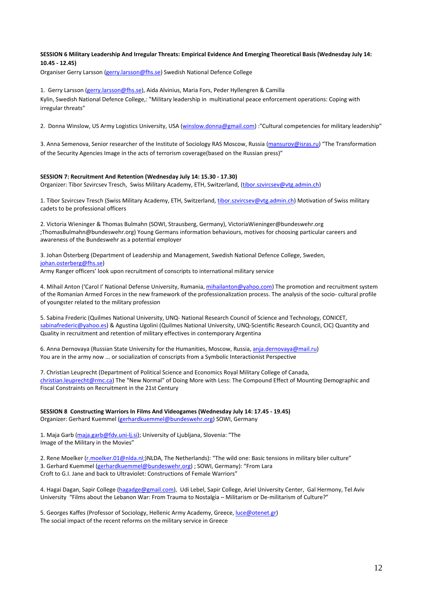#### SESSION 6 Military Leadership And Irregular Threats: Empirical Evidence And Emerging Theoretical Basis (Wednesday July 14: **10.45 ‐ 12.45)**

Organiser Gerry Larsson [\(gerry.larsson@fhs.se](mailto:gerry.larsson@fhs.se)) Swedish National Defence College

1. Gerry Larsson ([gerry.larsson@fhs.se](mailto:gerry.larsson@fhs.se)), Aida Alvinius, Maria Fors, Peder Hyllengren & Camilla Kylin, Swedish National Defence College,: "Military leadership in multinational peace enforcement operations: Coping with irregular threats"

2. Donna Winslow, US Army Logistics University, USA [\(winslow.donna@gmail.com](mailto:winslow.donna@gmail.com)) :"Cultural competencies for military leadership"

3. Anna Semenova, Senior researcher of the Institute of Sociology RAS Moscow, Russia ([mansurov@isras.ru\)](mailto:mansurov@isras.ru) "The Transformation of the Security Agencies Image in the acts of terrorism coverage(based on the Russian press)"

#### **SESSION 7: Recruitment And Retention (Wednesday July 14: 15.30 ‐ 17.30)**

Organizer: Tibor Szvircsev Tresch, Swiss Military Academy, ETH, Switzerland, ([tibor.szvircsev@vtg.admin.ch](mailto:tibor.szvircsev@vtg.admin.ch))

1. Tibor Szvircsev Tresch (Swiss Military Academy, ETH, Switzerland, [tibor.szvircsev@vtg.admin.ch\)](mailto:tibor.szvircsev@vtg.admin.ch) Motivation of Swiss military cadets to be professional officers

2. Victoria Wieninger & Thomas Bulmahn (SOWI, Strausberg, Germany), [VictoriaWieninger@bundeswehr.org](mailto:VictoriaWieninger@bundeswehr.org) ;ThomasBulmahn@bundeswehr.org) Young Germans information behaviours, motives for choosing particular careers and awareness of the Bundeswehr as a potential employer

3. Johan Österberg (Department of Leadership and Management, Swedish National Defence College, Sweden, [johan.osterberg@fhs.se\)](mailto:johan.osterberg@fhs.se) Army Ranger officers' look upon recruitment of conscripts to international military service

4. Mihail Anton ('Carol I' National Defense University, Rumania, [mihailanton@yahoo.com\)](mailto:mihailanton@yahoo.com) The promotion and recruitment system of the Romanian Armed Forces in the new framework of the professionalization process. The analysis of the socio‐ cultural profile of youngster related to the military profession

5. Sabina Frederic (Quilmes National University, UNQ‐ National Research Council of Science and Technology, CONICET, [sabinafrederic@yahoo.es\)](mailto:sabinafrederic@yahoo.es) & Agustina Ugolini (Quilmes National University, UNQ-Scientific Research Council, CIC) Quantity and Quality in recruitment and retention of military effectives in contemporary Argentina

6. Anna Dernovaya (Russian State University for the Humanities, Moscow, Russia, [anja.dernovaya@mail.ru](mailto:anja.dernovaya@mail.ru)) You are in the army now ... or socialization of conscripts from a Symbolic Interactionist Perspective

7. Christian Leuprecht (Department of Political Science and Economics Royal Military College of Canada, [christian.leuprecht@rmc.ca](mailto:christian.leuprecht@rmc.ca)) The "New Normal" of Doing More with Less: The Compound Effect of Mounting Demographic and Fiscal Constraints on Recruitment in the 21st Century

**SESSION 8 Constructing Warriors In Films And Videogames (Wednesday July 14: 17.45 ‐ 19.45)** Organizer: Gerhard Kuemmel ([gerhardkuemmel@bundeswehr.org\)](mailto:gerhardkuemmel@bundeswehr.org) SOWI, Germany

1. Maja Garb ([maja.garb@fdv.uni](mailto:maja.garb@fdv.uni-lj.si)-lj.si); University of Ljubljana, Slovenia: "The Image of the Military in the Movies"

2. Rene Moelker ([r.moelker.01@nlda.nl;](mailto:r.moelker.01@nlda.nl))NLDA, The Netherlands): "The wild one: Basic tensions in military biler culture" 3. Gerhard Kuemmel [\(gerhardkuemmel@bundeswehr.org](mailto:gerhardkuemmel@bundeswehr.org)) ; SOWI, Germany): "From Lara Croft to G.I. Jane and back to Ultraviolet: Constructions of Female Warriors"

4. Hagai Dagan, Sapir College ([hagadge@gmail.com\)](mailto:hagadge@gmail.com), Udi Lebel, Sapir College, Ariel University Center, Gal Hermony, Tel Aviv University "Films about the Lebanon War: From Trauma to Nostalgia – Militarism or De‐militarism of Culture?"

5. Georges Kaffes (Professor of Sociology, Hellenic Army Academy, Greece, [luce@otenet.gr\)](mailto:luce@otenet.gr) The social impact of the recent reforms on the military service in Greece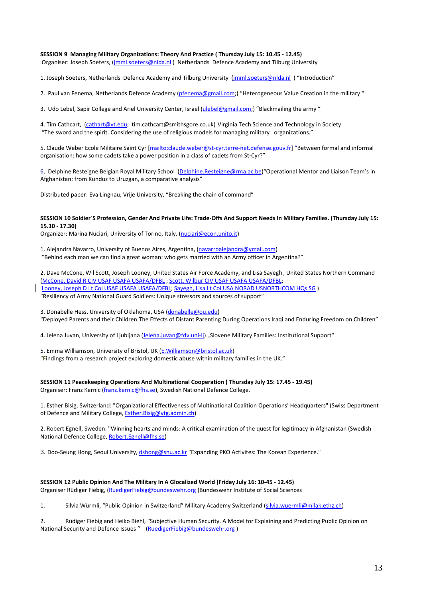#### **SESSION 9 Managing Military Organizations: Theory And Practice ( Thursday July 15: 10.45 ‐ 12.45)**

Organiser: Joseph Soeters, [\(jmml.soeters@nlda.nl](mailto:jmml.soeters@nlda.nl) ) Netherlands Defence Academy and Tilburg University

1. Joseph Soeters, Netherlands Defence Academy and Tilburg University [\(jmml.soeters@nlda.nl](mailto:jmml.soeters@nlda.nl)) "Introduction"

2. Paul van Fenema, Netherlands Defence Academy [\(pfenema@gmail.com;](mailto:pfenema@gmail.com)) "Heterogeneous Value Creation in the military "

3. Udo Lebel, Sapir College and Ariel University Center, Israel [\(ulebel@gmail.com;](mailto:ulebel@gmail.com)) "Blackmailing the army "

4. Tim Cathcart, [\(cathart@vt.edu](mailto:cathart@vt.edu); tim.cathcart@smithsgore.co.uk) Virginia Tech Science and Technology in Society "The sword and the spirit. Considering the use of religious models for managing military organizations."

5. Claude Weber Ecole Militaire Saint Cyr [\[mailto:claude.weber@st](mailto:claude.weber@st-cyr.terre-net.defense.gouv.fr)-cyr.terre-net.defense.gouv.fr] "Between formal and informal organisation: how some cadets take a power position in a class of cadets from St‐Cyr?"

6, Delphine Resteigne Belgian Royal Military School ([Delphine.Resteigne@rma.ac.be](mailto:Delphine.Resteigne@rma.ac.be))"Operational Mentor and Liaison Team's in Afghanistan: from Kunduz to Uruzgan, a comparative analysis"

Distributed paper: Eva Lingnau, Vrije University, "Breaking the chain of command"

#### SESSION 10 Soldier'S Profession, Gender And Private Life: Trade-Offs And Support Needs In Military Families. (Thursday July 15: **15.30 ‐ 17.30)**

Organizer: Marina Nuciari, University of Torino, Italy. ([nuciari@econ.unito.it](mailto:nuciari@econ.unito.it))

1. Alejandra Navarro, University of Buenos Aires, Argentina, ([navarroalejandra@ymail.com](mailto:navarroalejandra@ymail.com)) "Behind each man we can find a great woman: who gets married with an Army officer in Argentina?"

2. Dave McCone, Wil Scott, Joseph Looney, United States Air Force Academy, and Lisa Sayegh , United States Northern Command (McCone, David R CIV USAF USAFA [USAFA/DFBL](mailto:David.McCone@usafa.edu) ; Scott, Wilbur CIV USAF USAFA [USAFA/DFBL;](mailto:Wilbur.Scott@usafa.edu) Looney, Joseph D Lt Col USAF USAFA [USAFA/DFBL;](mailto:joseph.looney@usafa.edu) Sayegh, Lisa Lt Col USA NORAD [USNORTHCOM](mailto:Lisa.Sayegh@northcom.mil) HQs SG ) "Resiliency of Army National Guard Soldiers: Unique stressors and sources of support"

3. Donabelle Hess, University of Oklahoma, USA [\(donabelle@ou.edu](mailto:donabelle@ou.edu)) "Deployed Parents and their Children:The Effects of Distant Parenting During Operations Iraqi and Enduring Freedom on Children"

4. Jelena Juvan, University of Liubliana ([Jelena.juvan@fdv.uni](mailto:Jelena.juvan@fdv.uni-lj)-li) "Slovene Military Families: Institutional Support"

5. Emma Williamson, University of Bristol, UK [\(E.Williamson@bristol.ac.uk](mailto:E.Williamson@bristol.ac.uk)) "Findings from a research project exploring domestic abuse within military families in the UK."

**SESSION 11 Peacekeeping Operations And Multinational Cooperation ( Thursday July 15: 17.45 ‐ 19.45)** Organiser: Franz Kernic (*franz.kernic@fhs.se*), Swedish National Defence College.

1. Esther Bisig, Switzerland: "Organizational Effectiveness of Multinational Coalition Operations' Headquarters" (Swiss Department of Defence and Military College, [Esther.Bisig@vtg.admin.ch\)](mailto:Esther.Bisig@vtg.admin.ch)

2. Robert Egnell, Sweden: "Winning hearts and minds: A critical examination of the quest for legitimacy in Afghanistan (Swedish National Defence College, [Robert.Egnell@fhs.se\)](mailto:Robert.Egnell@fhs.se)

3. Doo-Seung Hong, Seoul University, [dshong@snu.ac.kr](mailto:dshong@snu.ac.kr) "Expanding PKO Activites: The Korean Experience."

#### SESSION 12 Public Opinion And The Military In A Glocalized World (Friday July 16: 10-45 - 12.45)

Organiser Rüdiger Fiebig, [\(RuedigerFiebig@bundeswehr.org](mailto:RuedigerFiebig@bundeswehr.org) )Bundeswehr Institute of Social Sciences

1. Silvia Würmli, "Public Opinion in Switzerland" Military Academy Switzerland [\(silvia.wuermli@milak.ethz.ch](mailto:silvia.wuermli@milak.ethz.ch))

2. Rüdiger Fiebig and Heiko Biehl, "Subjective Human Security. A Model for Explaining and Predicting Public Opinion on National Security and Defence Issues " [\(RuedigerFiebig@bundeswehr.org](mailto:RuedigerFiebig@bundeswehr.org) )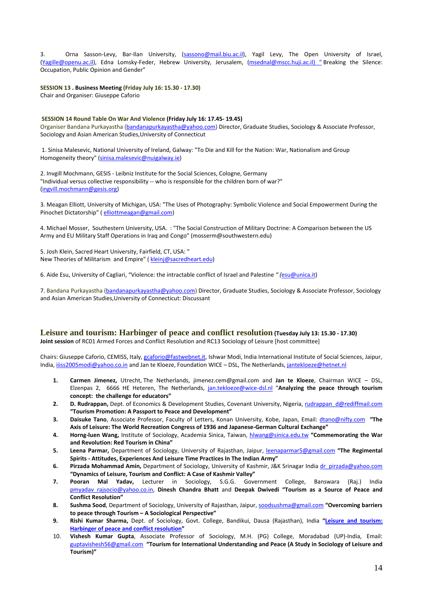3. Orna Sasson-Levy, Bar-Ilan University, ([sassono@mail.biu.ac.il](mailto:sassono@mail.biu.ac.il)), Yagil Levy, The Open University of Israel, [\(Yagille@openu.ac.il](mailto:Yagille@openu.ac.il)), Edna Lomsky‐Feder, Hebrew University, Jerusalem, ([msednal@mscc.huji.ac.il\)](mailto:msednal@mscc.huji.ac.il) " Breaking the Silence: Occupation, Public Opinion and Gender"

**SESSION 13 . Business Meeting (Friday July 16: 15.30 ‐ 17.30)** Chair and Organiser: Giuseppe Caforio

#### **SESSION 14 Round Table On War And Violence (Friday July 16: 17.45‐ 19.45)**

Organiser Bandana Purkayastha [\(bandanapurkayastha@yahoo.com](mailto:bandanapurkayastha@yahoo.com)) Director, Graduate Studies, Sociology & Associate Professor, Sociology and Asian American Studies,University of Connecticut

1. Sinisa Malesevic, National University of Ireland, Galway: "To Die and Kill for the Nation: War, Nationalism and Group Homogeneity theory" ([sinisa.malesevic@nuigalway.ie\)](mailto:sinisa.malesevic@nuigalway.ie)

2. Invgill Mochmann, GESIS ‐ Leibniz Institute for the Social Sciences, Cologne, Germany "Individual versus collective responsibility -- who is responsible for the children born of war?" [\(ingvill.mochmann@gesis.org\)](mailto:ingvill.mochmann@gesis.org)

3. Meagan Elliott, University of Michigan, USA: "The Uses of Photography: Symbolic Violence and Social Empowerment During the Pinochet Dictatorship" ( [elliottmeagan@gmail.com\)](mailto:elliottmeagan@gmail.com)

4. Michael Mosser, Southestern University, USA. : "The Social Construction of Military Doctrine: A Comparison between the US Army and EU Military Staff Operations in Iraq and Congo" (mosserm@southwestern.edu)

5. Josh Klein, Sacred Heart University, Fairfield, CT, USA: " New Theories of Militarism and Empire" ( [kleinj@sacredheart.edu](mailto:kleinj@sacredheart.edu))

6. Aide Esu, University of Cagliari, "Violence: the intractable conflict of Israel and Palestine *" (*[esu@unica.it](http://us.mc318.mail.yahoo.com/mc/compose?to=esu@unica.it))

7. Bandana Purkayastha [\(bandanapurkayastha@yahoo.com\)](mailto:bandanapurkayastha@yahoo.com) Director, Graduate Studies, Sociology & Associate Professor, Sociology and Asian American Studies,University of Connecticut: Discussant

#### **[Leisure and tourism: Harbinger of peace and conflict resolution](http://www.isa-sociology.org/congress2010/rc/joint_sessions.htm#RC01RC13) (Tuesday July 13: 15.30 ‐ 17.30) Joint session** of RC01 Armed Forces and Conflict Resolution and RC13 Sociology of Leisure [host committee]

Chairs: Giuseppe Caforio, CEMISS, Italy, [gcaforio@fastwebnet.it](mailto:gcaforio@fastwebnet.it), Ishwar Modi, India International Institute of Social Sciences, Jaipur, India, [iiiss2005modi@yahoo.co.in](mailto:iiiss2005modi@yahoo.co.in) and Jan te Kloeze, Foundation WICE – DSL, The Netherlands, [jantekloeze@hetnet.nl](mailto:jantekloeze@hetnet.nl)

- **1. Carmen Jimenez,** Utrecht, The Netherlands, [jimenez.cem@gmail.com](http://in.mc85.mail.yahoo.com/mc/compose?to=jimenez.cem@gmail.com) and **Jan te Kloeze**, Chairman WICE DSL, Elzenpas 2, 6666 HE Heteren, The Netherlands, [jan.tekloeze@wice](mailto:jan.tekloeze@wice-dsl.nl)‐dsl.nl "**Analyzing the peace through tourism concept: the challenge for educators"**
- **2. D. Rudrappan,** Dept. of Economics & Development Studies, Covenant University, Nigeria, [rudrappan\\_d@rediffmail.com](mailto:rudrappan_d@rediffmail.com) **"Tourism Promotion: A Passport to Peace and Development"**
- **3. Daisuke Tano**, Associate Professor, Faculty of Letters, Konan University, Kobe, Japan, Email: [dtano@nifty.com](mailto:dtano@nifty.com) **"The Axis of Leisure: The World Recreation Congress of 1936 and Japanese‐German Cultural Exchange"**
- **4. Horng‐luen Wang,** Institute of Sociology, Academia Sinica, Taiwan, [hlwang@sinica.edu.tw](mailto:hlwang@sinica.edu.tw) **"Commemorating the War and Revolution: Red Tourism in China"**
- **5. Leena Parmar,** Department of Sociology, University of Rajasthan, Jaipur, [leenaparmar5@gmail.com](mailto:leenaparmar5@gmail.com) **"The Regimental Spirits ‐ Attitudes, Experiences And Leisure Time Practices In The Indian Army"**
- **6. Pirzada Mohammad Amin,** Department of Sociology, University of Kashmir, J&K Srinagar India [dr\\_pirzada@yahoo.com](mailto:dr_pirzada@yahoo.com) **"Dynamics of Leisure, Tourism and Conflict: A Case of Kashmir Valley"**
- **7. Pooran Mal Yadav,** Lecturer in Sociology, S.G.G. Government College, Banswara (Raj.) India [pmyadav\\_rajsocio@yahoo.co.in,](mailto:pmyadav_rajsocio@yahoo.co.in) **Dinesh Chandra Bhatt** and **Deepak Dwivedi "Tourism as a Source of Peace and Conflict Resolution"**
- **8. Sushma Sood**, Department of Sociology, University of Rajasthan, Jaipur, [soodsushma@gmail.com](mailto:soodsushma@gmail.com) **"Overcoming barriers to peace through Tourism – A Sociological Perspective"**
- **9. Rishi Kumar Sharma,** Dept. of Sociology, Govt. College, Bandikui, Dausa (Rajasthan), India **"Leisure and [tourism:](http://www.isa-sociology.org/congress2010/rc/joint_sessions.htm#RC01RC13) Harbinger of peace and conflict [resolution"](http://www.isa-sociology.org/congress2010/rc/joint_sessions.htm#RC01RC13)**
- 10. **Vishesh Kumar Gupta**, Associate Professor of Sociology, M.H. (PG) College, Moradabad (UP)‐India, Email: [guptavishesh56@gmail.com](mailto:guptavishesh56@gmail.com) **"Tourism for International Understanding and Peace (A Study in Sociology of Leisure and Tourism)"**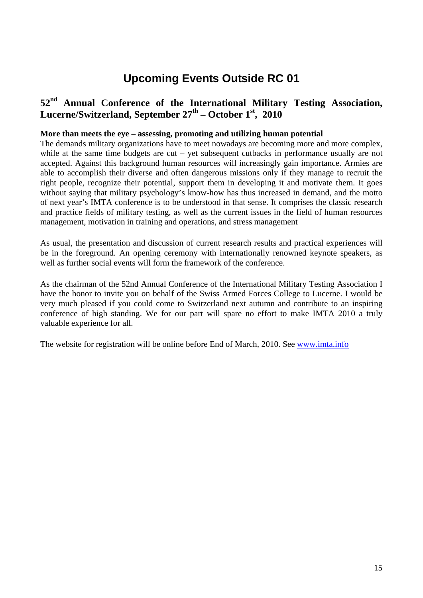# **Upcoming Events Outside RC 01**

# <span id="page-14-0"></span>**52nd Annual Conference of the International Military Testing Association, Lucerne/Switzerland, September 27th – October 1st, 2010**

### **More than meets the eye – assessing, promoting and utilizing human potential**

The demands military organizations have to meet nowadays are becoming more and more complex, while at the same time budgets are cut – yet subsequent cutbacks in performance usually are not accepted. Against this background human resources will increasingly gain importance. Armies are able to accomplish their diverse and often dangerous missions only if they manage to recruit the right people, recognize their potential, support them in developing it and motivate them. It goes without saying that military psychology's know-how has thus increased in demand, and the motto of next year's IMTA conference is to be understood in that sense. It comprises the classic research and practice fields of military testing, as well as the current issues in the field of human resources management, motivation in training and operations, and stress management

As usual, the presentation and discussion of current research results and practical experiences will be in the foreground. An opening ceremony with internationally renowned keynote speakers, as well as further social events will form the framework of the conference.

As the chairman of the 52nd Annual Conference of the International Military Testing Association I have the honor to invite you on behalf of the Swiss Armed Forces College to Lucerne. I would be very much pleased if you could come to Switzerland next autumn and contribute to an inspiring conference of high standing. We for our part will spare no effort to make IMTA 2010 a truly valuable experience for all.

The website for registration will be online before End of March, 2010. See [www.imta.info](http://www.imta.info/)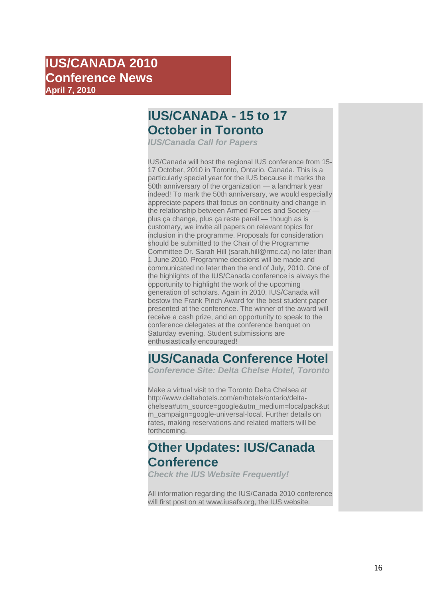# **IUS/CANADA 2010 Conference News April 7, 2010**

# **IUS/CANADA - 15 to 17 October in Toronto**

*IUS/Canada Call for Papers*

IUS/Canada will host the regional IUS conference from 15- 17 October, 2010 in Toronto, Ontario, Canada. This is a particularly special year for the IUS because it marks the 50th anniversary of the organization — a landmark year indeed! To mark the 50th anniversary, we would especially appreciate papers that focus on continuity and change in the relationship between Armed Forces and Society plus ça change, plus ça reste pareil — though as is customary, we invite all papers on relevant topics for inclusion in the programme. Proposals for consideration should be submitted to the Chair of the Programme Committee Dr. Sarah Hill (sarah.hill@rmc.ca) no later than 1 June 2010. Programme decisions will be made and communicated no later than the end of July, 2010. One of the highlights of the IUS/Canada conference is always the opportunity to highlight the work of the upcoming generation of scholars. Again in 2010, IUS/Canada will bestow the Frank Pinch Award for the best student paper presented at the conference. The winner of the award will receive a cash prize, and an opportunity to speak to the conference delegates at the conference banquet on Saturday evening. Student submissions are enthusiastically encouraged!

# **IUS/Canada Conference Hotel**

*Conference Site: Delta Chelse Hotel, Toronto*

Make a virtual visit to the Toronto Delta Chelsea at http://www.deltahotels.com/en/hotels/ontario/deltachelsea#utm\_source=google&utm\_medium=localpack&ut m\_campaign=google-universal-local. Further details on rates, making reservations and related matters will be forthcoming.

# **Other Updates: IUS/Canada Conference**

*Check the IUS Website Frequently!*

All information regarding the IUS/Canada 2010 conference will first post on at www.iusafs.org, the IUS website.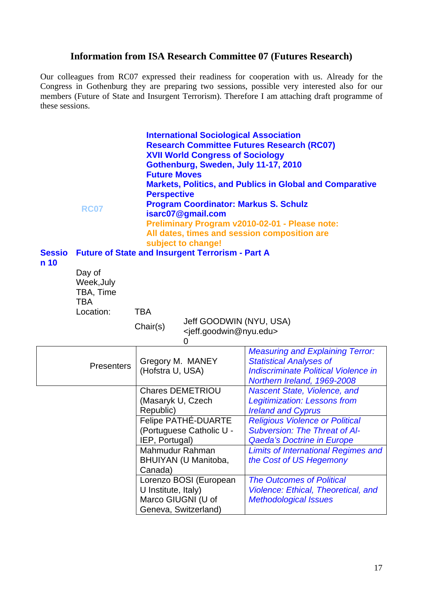# **Information from ISA Research Committee 07 (Futures Research)**

Our colleagues from RC07 expressed their readiness for cooperation with us. Already for the Congress in Gothenburg they are preparing two sessions, possible very interested also for our members (Future of State and Insurgent Terrorism). Therefore I am attaching draft programme of these sessions.

| <b>Sessio</b><br>n 10 | <b>RC07</b>                                                  | <b>International Sociological Association</b><br><b>Research Committee Futures Research (RC07)</b><br><b>XVII World Congress of Sociology</b><br>Gothenburg, Sweden, July 11-17, 2010<br><b>Future Moves</b><br><b>Perspective</b><br><b>Program Coordinator: Markus S. Schulz</b><br>isarc07@gmail.com<br>Preliminary Program v2010-02-01 - Please note:<br>All dates, times and session composition are<br>subject to change!<br><b>Future of State and Insurgent Terrorism - Part A</b> | <b>Markets, Politics, and Publics in Global and Comparative</b>                                                                                         |
|-----------------------|--------------------------------------------------------------|--------------------------------------------------------------------------------------------------------------------------------------------------------------------------------------------------------------------------------------------------------------------------------------------------------------------------------------------------------------------------------------------------------------------------------------------------------------------------------------------|---------------------------------------------------------------------------------------------------------------------------------------------------------|
|                       | Day of<br>Week, July<br>TBA, Time<br><b>TBA</b><br>Location: | <b>TBA</b><br>Jeff GOODWIN (NYU, USA)<br>Chair(s)<br><jeff.goodwin@nyu.edu><br/>0</jeff.goodwin@nyu.edu>                                                                                                                                                                                                                                                                                                                                                                                   |                                                                                                                                                         |
|                       | <b>Presenters</b>                                            | Gregory M. MANEY<br>(Hofstra U, USA)                                                                                                                                                                                                                                                                                                                                                                                                                                                       | <b>Measuring and Explaining Terror:</b><br><b>Statistical Analyses of</b><br><b>Indiscriminate Political Violence in</b><br>Northern Ireland, 1969-2008 |
|                       |                                                              | <b>Chares DEMETRIOU</b><br>(Masaryk U, Czech<br>Republic)                                                                                                                                                                                                                                                                                                                                                                                                                                  | <b>Nascent State, Violence, and</b><br><b>Legitimization: Lessons from</b><br><b>Ireland and Cyprus</b>                                                 |
|                       |                                                              | Felipe PATHÉ-DUARTE<br>(Portuguese Catholic U -<br>IEP, Portugal)                                                                                                                                                                                                                                                                                                                                                                                                                          | <b>Religious Violence or Political</b><br><b>Subversion: The Threat of Al-</b><br><b>Qaeda's Doctrine in Europe</b>                                     |
|                       |                                                              | Mahmudur Rahman<br>BHUIYAN (U Manitoba,<br>Canada)                                                                                                                                                                                                                                                                                                                                                                                                                                         | Limits of International Regimes and<br>the Cost of US Hegemony                                                                                          |
|                       |                                                              | Lorenzo BOSI (European<br>U Institute, Italy)<br>Marco GIUGNI (U of<br>Geneva, Switzerland)                                                                                                                                                                                                                                                                                                                                                                                                | <b>The Outcomes of Political</b><br>Violence: Ethical, Theoretical, and<br><b>Methodological Issues</b>                                                 |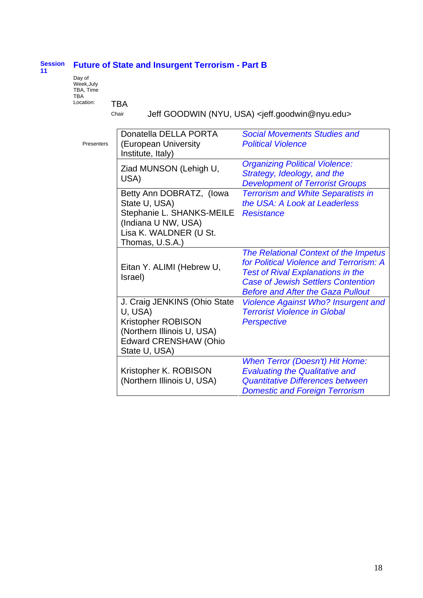|     | Session Future of State and Insurgent Terrorism - Part B |
|-----|----------------------------------------------------------|
| -11 |                                                          |

Day of Week,July TBA, Time TBA

Location: **TBA** 

Chair Jeff GOODWIN (NYU, USA) <jeff.goodwin@nyu.edu>

| Presenters | Donatella DELLA PORTA<br>(European University<br>Institute, Italy)                                                                           | <b>Social Movements Studies and</b><br><b>Political Violence</b>                                                                                                                                                      |
|------------|----------------------------------------------------------------------------------------------------------------------------------------------|-----------------------------------------------------------------------------------------------------------------------------------------------------------------------------------------------------------------------|
|            | Ziad MUNSON (Lehigh U,<br>USA)                                                                                                               | <b>Organizing Political Violence:</b><br>Strategy, Ideology, and the<br><b>Development of Terrorist Groups</b>                                                                                                        |
|            | Betty Ann DOBRATZ, (lowa<br>State U, USA)<br>Stephanie L. SHANKS-MEILE<br>(Indiana U NW, USA)<br>Lisa K. WALDNER (U St.<br>Thomas, U.S.A.)   | <b>Terrorism and White Separatists in</b><br>the USA: A Look at Leaderless<br><b>Resistance</b>                                                                                                                       |
|            | Eitan Y. ALIMI (Hebrew U,<br>Israel)                                                                                                         | The Relational Context of the Impetus<br>for Political Violence and Terrorism: A<br><b>Test of Rival Explanations in the</b><br><b>Case of Jewish Settlers Contention</b><br><b>Before and After the Gaza Pullout</b> |
|            | J. Craig JENKINS (Ohio State<br>U, USA)<br>Kristopher ROBISON<br>(Northern Illinois U, USA)<br><b>Edward CRENSHAW (Ohio</b><br>State U, USA) | <b>Violence Against Who? Insurgent and</b><br><b>Terrorist Violence in Global</b><br><b>Perspective</b>                                                                                                               |
|            | Kristopher K. ROBISON<br>(Northern Illinois U, USA)                                                                                          | <b>When Terror (Doesn't) Hit Home:</b><br><b>Evaluating the Qualitative and</b><br><b>Quantitative Differences between</b><br><b>Domestic and Foreign Terrorism</b>                                                   |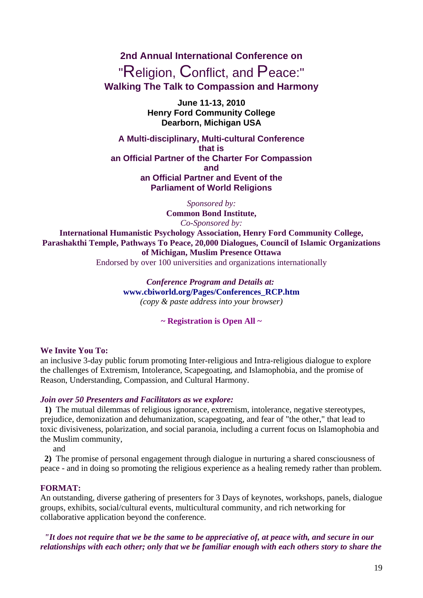**2nd Annual International Conference on**  "Religion, Conflict, and Peace:" **Walking The Talk to Compassion and Harmony**

> **June 11-13, 2010 Henry Ford Community College Dearborn, Michigan USA**

**A Multi-disciplinary, Multi-cultural Conference that is an Official Partner of the Charter For Compassion and an Official Partner and Event of the Parliament of World Religions**

> *Sponsored by:* **Common Bond Institute,**  *Co-Sponsored by:*

**International Humanistic Psychology Association, Henry Ford Community College, Parashakthi Temple, Pathways To Peace, 20,000 Dialogues, Council of Islamic Organizations of Michigan, Muslim Presence Ottawa** 

Endorsed by over 100 universities and organizations internationally

*Conference Program and Details at:*  **www.cbiworld.org/Pages/Conferences\_RCP.htm** *(copy & paste address into your browser)*

**~ Registration is Open All ~**

## **We Invite You To:**

an inclusive 3-day public forum promoting Inter-religious and Intra-religious dialogue to explore the challenges of Extremism, Intolerance, Scapegoating, and Islamophobia, and the promise of Reason, Understanding, Compassion, and Cultural Harmony.

## *Join over 50 Presenters and Facilitators as we explore:*

 **1)** The mutual dilemmas of religious ignorance, extremism, intolerance, negative stereotypes, prejudice, demonization and dehumanization, scapegoating, and fear of "the other," that lead to toxic divisiveness, polarization, and social paranoia, including a current focus on Islamophobia and the Muslim community,

and

 **2)** The promise of personal engagement through dialogue in nurturing a shared consciousness of peace - and in doing so promoting the religious experience as a healing remedy rather than problem.

# **FORMAT:**

An outstanding, diverse gathering of presenters for 3 Days of keynotes, workshops, panels, dialogue groups, exhibits, social/cultural events, multicultural community, and rich networking for collaborative application beyond the conference.

*"It does not require that we be the same to be appreciative of, at peace with, and secure in our relationships with each other; only that we be familiar enough with each others story to share the*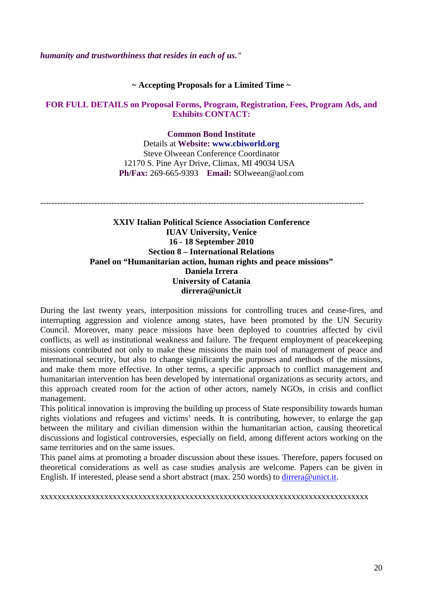*humanity and trustworthiness that resides in each of us."*

## **~ Accepting Proposals for a Limited Time ~**

# **FOR FULL DETAILS on Proposal Forms, Program, Registration, Fees, Program Ads, and Exhibits CONTACT:**

**Common Bond Institute**

Details at **Website: www.cbiworld.org** Steve Olweean Conference Coordinator 12170 S. Pine Ayr Drive, Climax, MI 49034 USA **Ph/Fax:** 269-665-9393 **Email:** SOlweean@aol.com

------------------------------------------------------------------------------------------------------------------

# **XXIV Italian Political Science Association Conference IUAV University, Venice 16 - 18 September 2010 Section 8 – International Relations Panel on "Humanitarian action, human rights and peace missions" Daniela Irrera University of Catania dirrera@unict.it**

During the last twenty years, interposition missions for controlling truces and cease-fires, and interrupting aggression and violence among states, have been promoted by the UN Security Council. Moreover, many peace missions have been deployed to countries affected by civil conflicts, as well as institutional weakness and failure. The frequent employment of peacekeeping missions contributed not only to make these missions the main tool of management of peace and international security, but also to change significantly the purposes and methods of the missions, and make them more effective. In other terms, a specific approach to conflict management and humanitarian intervention has been developed by international organizations as security actors, and this approach created room for the action of other actors, namely NGOs, in crisis and conflict management.

This political innovation is improving the building up process of State responsibility towards human rights violations and refugees and victims' needs. It is contributing, however, to enlarge the gap between the military and civilian dimension within the humanitarian action, causing theoretical discussions and logistical controversies, especially on field, among different actors working on the same territories and on the same issues.

This panel aims at promoting a broader discussion about these issues. Therefore, papers focused on theoretical considerations as well as case studies analysis are welcome. Papers can be given in English. If interested, please send a short abstract (max. 250 words) to [dirrera@unict.it.](mailto:dirrera@unict.it)

xxxxxxxxxxxxxxxxxxxxxxxxxxxxxxxxxxxxxxxxxxxxxxxxxxxxxxxxxxxxxxxxxxxxxxxxxxxxx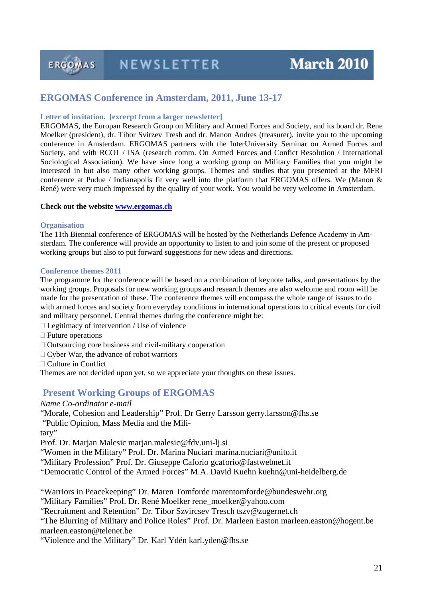# **ERGOMAS Conference in Amsterdam, 2011, June 13-17**

#### **Letter of invitation. [excerpt from a larger newsletter]**

ERGOMAS, the Europan Research Group on Military and Armed Forces and Society, and its board dr. Rene Moelker (president), dr. Tibor Svirzev Tresh and dr. Manon Andres (treasurer), invite you to the upcoming conference in Amsterdam. ERGOMAS partners with the InterUniversity Seminar on Armed Forces and Society, and with RCO1 / ISA (research comm. On Armed Forces and Confict Resolution / International Sociological Association). We have since long a working group on Military Families that you might be interested in but also many other working groups. Themes and studies that you presented at the MFRI conference at Pudue / Indianapolis fit very well into the platform that ERGOMAS offers. We (Manon & René) were very much impressed by the quality of your work. You would be very welcome in Amsterdam.

#### **Check out the website [www.ergomas.ch](http://www.ergomas.ch/)**

#### **Organisation**

The 11th Biennial conference of ERGOMAS will be hosted by the Netherlands Defence Academy in Amsterdam. The conference will provide an opportunity to listen to and join some of the present or proposed working groups but also to put forward suggestions for new ideas and directions.

### **Conference themes 2011**

The programme for the conference will be based on a combination of keynote talks, and presentations by the working groups. Proposals for new working groups and research themes are also welcome and room will be made for the presentation of these. The conference themes will encompass the whole range of issues to do with armed forces and society from everyday conditions in international operations to critical events for civil and military personnel. Central themes during the conference might be:

- $\Box$  Legitimacy of intervention / Use of violence
- $\Box$  Future operations
- $\Box$  Outsourcing core business and civil-military cooperation
- $\Box$  Cyber War, the advance of robot warriors
- Culture in Conflict

Themes are not decided upon yet, so we appreciate your thoughts on these issues.

# **Present Working Groups of ERGOMAS**

*Name Co-ordinator e-mail* 

"Morale, Cohesion and Leadership" Prof. Dr Gerry Larsson gerry.larsson@fhs.se

- "Public Opinion, Mass Media and the Mili-
- tary"

Prof. Dr. Marjan Malesic marjan.malesic@fdv.uni-lj.si

"Women in the Military" Prof. Dr. Marina Nuciari marina.nuciari@unito.it

"Military Profession" Prof. Dr. Giuseppe Caforio gcaforio@fastwebnet.it

"Democratic Control of the Armed Forces" M.A. David Kuehn kuehn@uni-heidelberg.de

"Warriors in Peacekeeping" Dr. Maren Tomforde marentomforde@bundeswehr.org

"Military Families" Prof. Dr. René Moelker rene\_moelker@yahoo.com

"Recruitment and Retention" Dr. Tibor Szvircsev Tresch tszv@zugernet.ch

"The Blurring of Military and Police Roles" Prof. Dr. Marleen Easton marleen.easton@hogent.be marleen.easton@telenet.be

"Violence and the Military" Dr. Karl Ydén karl.yden@fhs.se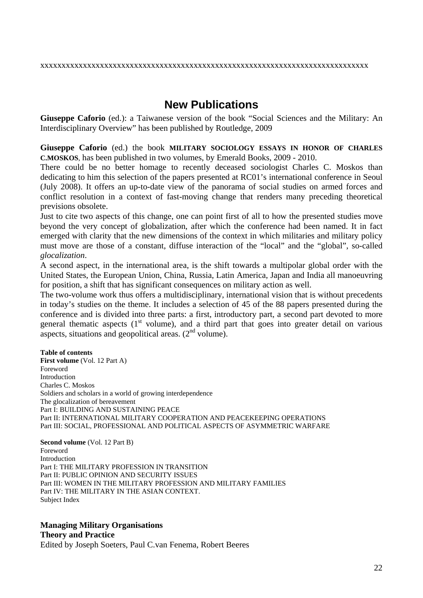# **New Publications**

<span id="page-21-0"></span>**Giuseppe Caforio** (ed.): a Taiwanese version of the book "Social Sciences and the Military: An Interdisciplinary Overview" has been published by Routledge, 2009

**Giuseppe Caforio** (ed.) the book **MILITARY SOCIOLOGY ESSAYS IN HONOR OF CHARLES C.MOSKOS**, has been published in two volumes, by Emerald Books, 2009 - 2010.

There could be no better homage to recently deceased sociologist Charles C. Moskos than dedicating to him this selection of the papers presented at RC01's international conference in Seoul (July 2008). It offers an up-to-date view of the panorama of social studies on armed forces and conflict resolution in a context of fast-moving change that renders many preceding theoretical previsions obsolete.

Just to cite two aspects of this change, one can point first of all to how the presented studies move beyond the very concept of globalization, after which the conference had been named. It in fact emerged with clarity that the new dimensions of the context in which militaries and military policy must move are those of a constant, diffuse interaction of the "local" and the "global", so-called *glocalization*.

A second aspect, in the international area, is the shift towards a multipolar global order with the United States, the European Union, China, Russia, Latin America, Japan and India all manoeuvring for position, a shift that has significant consequences on military action as well.

The two-volume work thus offers a multidisciplinary, international vision that is without precedents in today's studies on the theme. It includes a selection of 45 of the 88 papers presented during the conference and is divided into three parts: a first, introductory part, a second part devoted to more general thematic aspects  $(1<sup>st</sup>$  volume), and a third part that goes into greater detail on various aspects, situations and geopolitical areas.  $(2<sup>nd</sup>$  volume).

#### **Table of contents**

**First volume** (Vol. 12 Part A) Foreword Introduction Charles C. Moskos Soldiers and scholars in a world of growing interdependence The glocalization of bereavement Part I: BUILDING AND SUSTAINING PEACE Part II: INTERNATIONAL MILITARY COOPERATION AND PEACEKEEPING OPERATIONS Part III: SOCIAL, PROFESSIONAL AND POLITICAL ASPECTS OF ASYMMETRIC WARFARE

**Second volume** (Vol. 12 Part B) Foreword Introduction Part I: THE MILITARY PROFESSION IN TRANSITION Part II: PUBLIC OPINION AND SECURITY ISSUES Part III: WOMEN IN THE MILITARY PROFESSION AND MILITARY FAMILIES Part IV: THE MILITARY IN THE ASIAN CONTEXT. Subject Index

# **Managing Military Organisations**

**Theory and Practice** 

Edited by Joseph Soeters, Paul C.van Fenema, Robert Beeres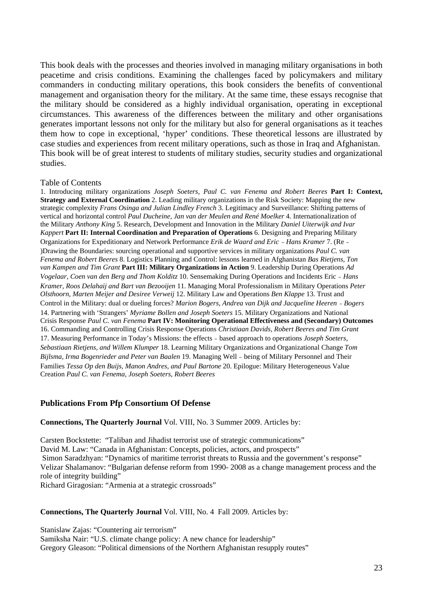This book deals with the processes and theories involved in managing military organisations in both peacetime and crisis conditions. Examining the challenges faced by policymakers and military commanders in conducting military operations, this book considers the benefits of conventional management and organisation theory for the military. At the same time, these essays recognise that the military should be considered as a highly individual organisation, operating in exceptional circumstances. This awareness of the differences between the military and other organisations generates important lessons not only for the military but also for general organisations as it teaches them how to cope in exceptional, 'hyper' conditions. These theoretical lessons are illustrated by case studies and experiences from recent military operations, such as those in Iraq and Afghanistan. This book will be of great interest to students of military studies, security studies and organizational studies.

#### Table of Contents

1. Introducing military organizations *Joseph Soeters, Paul C. van Fenema and Robert Beeres* **Part I: Context, Strategy and External Coordination** 2. Leading military organizations in the Risk Society: Mapping the new strategic complexity *Frans Osinga and Julian Lindley French* 3. Legitimacy and Surveillance: Shifting patterns of vertical and horizontal control *Paul Ducheine, Jan van der Meulen and René Moelker* 4. Internationalization of the Military *Anthony King* 5. Research, Development and Innovation in the Military *Daniel Uiterwijk and Ivar Kappert* **Part II: Internal Coordination and Preparation of Operations** 6. Designing and Preparing Military Organizations for Expeditionary and Network Performance *Erik de Waard and Eric*‐*Hans Kramer* 7. (Re‐ )Drawing the Boundaries: sourcing operational and supportive services in military organizations *Paul C. van Fenema and Robert Beeres* 8. Logistics Planning and Control: lessons learned in Afghanistan *Bas Rietjens, Ton van Kampen and Tim Grant* **Part III: Military Organizations in Action** 9. Leadership During Operations *Ad Vogelaar, Coen van den Berg and Thom Kolditz* 10. Sensemaking During Operations and Incidents Eric‐*Hans Kramer, Roos Delahaij and Bart van Bezooijen* 11. Managing Moral Professionalism in Military Operations *Peter Olsthoorn, Marten Meijer and Desiree Verweij* 12. Military Law and Operations *Ben Klappe* 13. Trust and Control in the Military: dual or dueling forces? *Marion Bogers, Andrea van Dijk and Jacqueline Heeren*‐*Bogers* 14. Partnering with 'Strangers' *Myriame Bollen and Joseph Soeters* 15. Military Organizations and National Crisis Response *Paul C. van Fenema* **Part IV: Monitoring Operational Effectiveness and (Secondary) Outcomes** 16. Commanding and Controlling Crisis Response Operations *Christiaan Davids, Robert Beeres and Tim Grant* 17. Measuring Performance in Today's Missions: the effects‐based approach to operations *Joseph Soeters, Sebastiaan Rietjens, and Willem Klumper* 18. Learning Military Organizations and Organizational Change *Tom Bijlsma, Irma Bogenrieder and Peter van Baalen* 19. Managing Well‐being of Military Personnel and Their Families *Tessa Op den Buijs, Manon Andres, and Paul Bartone* 20. Epilogue: Military Heterogeneous Value Creation *Paul C. van Fenema, Joseph Soeters, Robert Beeres*

## **Publications From Pfp Consortium Of Defense**

**Connections, The Quarterly Journal** Vol. VIII, No. 3 Summer 2009. Articles by:

Carsten Bockstette: "Taliban and Jihadist terrorist use of strategic communications" David M. Law: "Canada in Afghanistan: Concepts, policies, actors, and prospects" Simon Saradzhyan: "Dynamics of maritime terrorist threats to Russia and the government's response" Velizar Shalamanov: "Bulgarian defense reform from 1990- 2008 as a change management process and the role of integrity building" Richard Giragosian: "Armenia at a strategic crossroads"

# **Connections, The Quarterly Journal** Vol. VIII, No. 4 Fall 2009. Articles by:

Stanislaw Zajas: "Countering air terrorism"

Samiksha Nair: "U.S. climate change policy: A new chance for leadership" Gregory Gleason: "Political dimensions of the Northern Afghanistan resupply routes"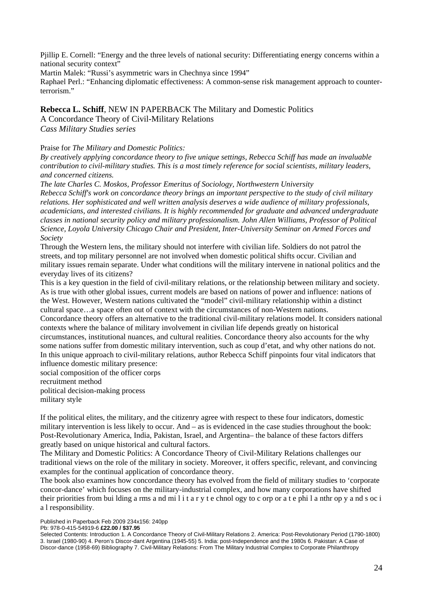Pjillip E. Cornell: "Energy and the three levels of national security: Differentiating energy concerns within a national security context"

Martin Malek: "Russi's asymmetric wars in Chechnya since 1994"

Raphael Perl.: "Enhancing diplomatic effectiveness: A common-sense risk management approach to counterterrorism."

**Rebecca L. Schiff**, NEW IN PAPERBACK The Military and Domestic Politics

A Concordance Theory of Civil-Military Relations *Cass Military Studies series* 

Praise for *The Military and Domestic Politics:* 

*By creatively applying concordance theory to five unique settings, Rebecca Schiff has made an invaluable contribution to civil-military studies. This is a most timely reference for social scientists, military leaders, and concerned citizens.* 

*The late Charles C. Moskos, Professor Emeritus of Sociology, Northwestern University Rebecca Schiff's work on concordance theory brings an important perspective to the study of civil military relations. Her sophisticated and well written analysis deserves a wide audience of military professionals, academicians, and interested civilians. It is highly recommended for graduate and advanced undergraduate classes in national security policy and military professionalism. John Allen Williams, Professor of Political Science, Loyola University Chicago Chair and President, Inter-University Seminar on Armed Forces and Society* 

Through the Western lens, the military should not interfere with civilian life. Soldiers do not patrol the streets, and top military personnel are not involved when domestic political shifts occur. Civilian and military issues remain separate. Under what conditions will the military intervene in national politics and the everyday lives of its citizens?

This is a key question in the field of civil-military relations, or the relationship between military and society. As is true with other global issues, current models are based on nations of power and influence: nations of the West. However, Western nations cultivated the "model" civil-military relationship within a distinct cultural space…a space often out of context with the circumstances of non-Western nations. Concordance theory offers an alternative to the traditional civil-military relations model. It considers national contexts where the balance of military involvement in civilian life depends greatly on historical circumstances, institutional nuances, and cultural realities. Concordance theory also accounts for the why

some nations suffer from domestic military intervention, such as coup d'etat, and why other nations do not. In this unique approach to civil-military relations, author Rebecca Schiff pinpoints four vital indicators that influence domestic military presence:

social composition of the officer corps recruitment method political decision-making process

military style

If the political elites, the military, and the citizenry agree with respect to these four indicators, domestic military intervention is less likely to occur. And – as is evidenced in the case studies throughout the book: Post-Revolutionary America, India, Pakistan, Israel, and Argentina– the balance of these factors differs greatly based on unique historical and cultural factors.

The Military and Domestic Politics: A Concordance Theory of Civil-Military Relations challenges our traditional views on the role of the military in society. Moreover, it offers specific, relevant, and convincing examples for the continual application of concordance theory.

The book also examines how concordance theory has evolved from the field of military studies to 'corporate concor-dance' which focuses on the military-industrial complex, and how many corporations have shifted their priorities from bui lding a rms a nd mi l i t a r y t e chnol ogy to c orp or a t e phi l a nthr op y a nd s oc i a l responsibility.

Published in Paperback Feb 2009 234x156: 240pp

Pb: 978-0-415-54919-6 **£22.00 / \$37.95** 

Selected Contents: Introduction 1. A Concordance Theory of Civil-Military Relations 2. America: Post-Revolutionary Period (1790-1800) 3. Israel (1980-90) 4. Peron's Discor-dant Argentina (1945-55) 5. India: post-Independence and the 1980s 6. Pakistan: A Case of Discor-dance (1958-69) Bibliography 7. Civil-Military Relations: From The Military Industrial Complex to Corporate Philanthropy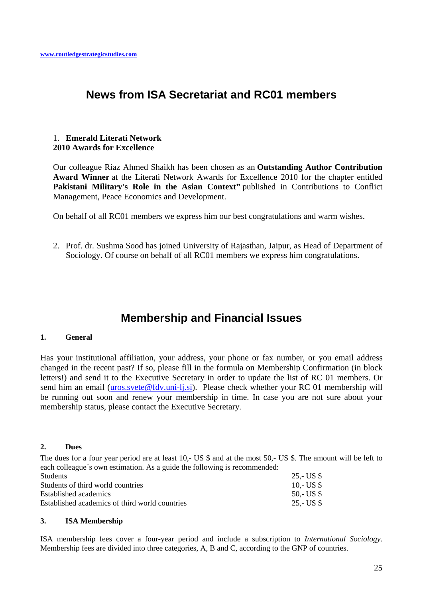# <span id="page-24-0"></span>**News from ISA Secretariat and RC01 members**

# 1. **Emerald Literati Network 2010 Awards for Excellence**

Our colleague Riaz Ahmed Shaikh has been chosen as an **Outstanding Author Contribution Award Winner** at the Literati Network Awards for Excellence 2010 for the chapter entitled **Pakistani Military's Role in the Asian Context"** published in Contributions to Conflict Management, Peace Economics and Development.

On behalf of all RC01 members we express him our best congratulations and warm wishes.

2. Prof. dr. Sushma Sood has joined University of Rajasthan, Jaipur, as Head of Department of Sociology. Of course on behalf of all RC01 members we express him congratulations.

# **Membership and Financial Issues**

## **1. General**

Has your institutional affiliation, your address, your phone or fax number, or you email address changed in the recent past? If so, please fill in the formula on Membership Confirmation (in block letters!) and send it to the Executive Secretary in order to update the list of RC 01 members. Or send him an email [\(uros.svete@fdv.uni-lj.si\)](mailto:uros.svete@fdv.uni-lj.si). Please check whether your RC 01 membership will be running out soon and renew your membership in time. In case you are not sure about your membership status, please contact the Executive Secretary.

## **2. Dues**

The dues for a four year period are at least 10,- US \$ and at the most 50,- US \$. The amount will be left to each colleague´s own estimation. As a guide the following is recommended:

| <b>Students</b>                                | $25 - US $$           |
|------------------------------------------------|-----------------------|
| Students of third world countries              | 10.- US $$$           |
| Established academics                          | 50,- US $$$           |
| Established academics of third world countries | 25,- US $\frac{1}{2}$ |

#### **3. ISA Membership**

ISA membership fees cover a four-year period and include a subscription to *International Sociology*. Membership fees are divided into three categories, A, B and C, according to the GNP of countries.